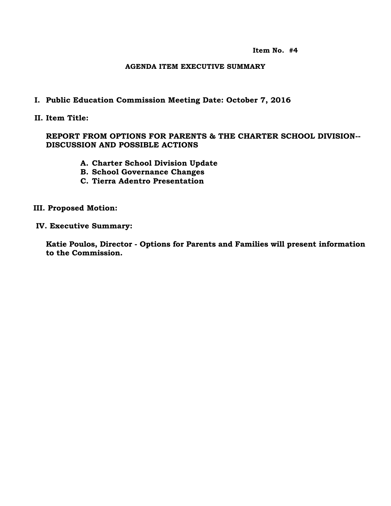**Item No. #4**

#### **AGENDA ITEM EXECUTIVE SUMMARY**

### **I. Public Education Commission Meeting Date: October 7, 2016**

**II. Item Title:** 

### **REPORT FROM OPTIONS FOR PARENTS & THE CHARTER SCHOOL DIVISION-- DISCUSSION AND POSSIBLE ACTIONS**

- **A. Charter School Division Update**
- **B. School Governance Changes**
- **C. Tierra Adentro Presentation**

#### **III. Proposed Motion:**

 **IV. Executive Summary:**

**Katie Poulos, Director - Options for Parents and Families will present information to the Commission.**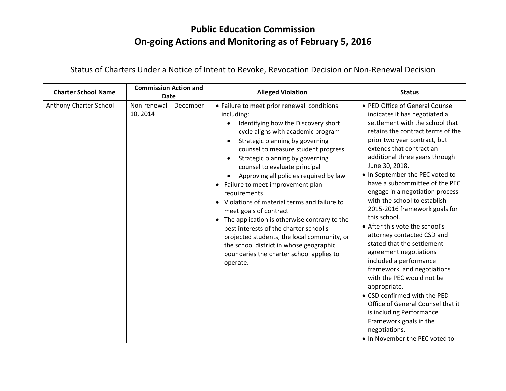## **Public Education Commission On-going Actions and Monitoring as of February 5, 2016**

| <b>Charter School Name</b> | <b>Commission Action and</b><br><b>Date</b> | <b>Alleged Violation</b>                                                                                                                                                                                                                                                                                                                                                                                                                                                                                                                                                                                                                                                                                            | <b>Status</b>                                                                                                                                                                                                                                                                                                                                                                                                                                                                                                                                                                                                                                                                                                                                                                                                                                                |
|----------------------------|---------------------------------------------|---------------------------------------------------------------------------------------------------------------------------------------------------------------------------------------------------------------------------------------------------------------------------------------------------------------------------------------------------------------------------------------------------------------------------------------------------------------------------------------------------------------------------------------------------------------------------------------------------------------------------------------------------------------------------------------------------------------------|--------------------------------------------------------------------------------------------------------------------------------------------------------------------------------------------------------------------------------------------------------------------------------------------------------------------------------------------------------------------------------------------------------------------------------------------------------------------------------------------------------------------------------------------------------------------------------------------------------------------------------------------------------------------------------------------------------------------------------------------------------------------------------------------------------------------------------------------------------------|
| Anthony Charter School     | Non-renewal - December<br>10, 2014          | • Failure to meet prior renewal conditions<br>including:<br>Identifying how the Discovery short<br>cycle aligns with academic program<br>Strategic planning by governing<br>counsel to measure student progress<br>Strategic planning by governing<br>counsel to evaluate principal<br>Approving all policies required by law<br>Failure to meet improvement plan<br>requirements<br>Violations of material terms and failure to<br>meet goals of contract<br>The application is otherwise contrary to the<br>$\bullet$<br>best interests of the charter school's<br>projected students, the local community, or<br>the school district in whose geographic<br>boundaries the charter school applies to<br>operate. | • PED Office of General Counsel<br>indicates it has negotiated a<br>settlement with the school that<br>retains the contract terms of the<br>prior two year contract, but<br>extends that contract an<br>additional three years through<br>June 30, 2018.<br>• In September the PEC voted to<br>have a subcommittee of the PEC<br>engage in a negotiation process<br>with the school to establish<br>2015-2016 framework goals for<br>this school.<br>• After this vote the school's<br>attorney contacted CSD and<br>stated that the settlement<br>agreement negotiations<br>included a performance<br>framework and negotiations<br>with the PEC would not be<br>appropriate.<br>• CSD confirmed with the PED<br>Office of General Counsel that it<br>is including Performance<br>Framework goals in the<br>negotiations.<br>. In November the PEC voted to |

Status of Charters Under a Notice of Intent to Revoke, Revocation Decision or Non-Renewal Decision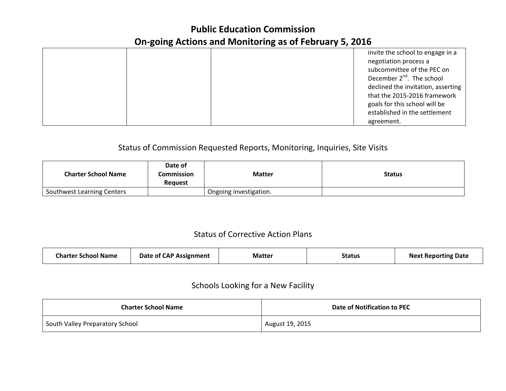## **Public Education Commission On-going Actions and Monitoring as of February 5, 2016**

|  | invite the school to engage in a   |
|--|------------------------------------|
|  | negotiation process a              |
|  | subcommittee of the PEC on         |
|  | December $2^{nd}$ . The school     |
|  | declined the invitation, asserting |
|  | that the 2015-2016 framework       |
|  | goals for this school will be      |
|  | established in the settlement      |
|  | agreement.                         |

### Status of Commission Requested Reports, Monitoring, Inquiries, Site Visits

| <b>Charter School Name</b> | Date of<br>Commission<br><b>Request</b> | <b>Matter</b>          | <b>Status</b> |
|----------------------------|-----------------------------------------|------------------------|---------------|
| Southwest Learning Centers |                                         | Ongoing investigation. |               |

## Status of Corrective Action Plans

| <b>Charter School Name</b><br>Date of CAP Assignment<br><b>Matter</b> | Status | <b>Next Reporting Date</b> |
|-----------------------------------------------------------------------|--------|----------------------------|
|-----------------------------------------------------------------------|--------|----------------------------|

### Schools Looking for a New Facility

| <b>Charter School Name</b>      | Date of Notification to PEC |
|---------------------------------|-----------------------------|
| South Valley Preparatory School | August 19, 2015             |